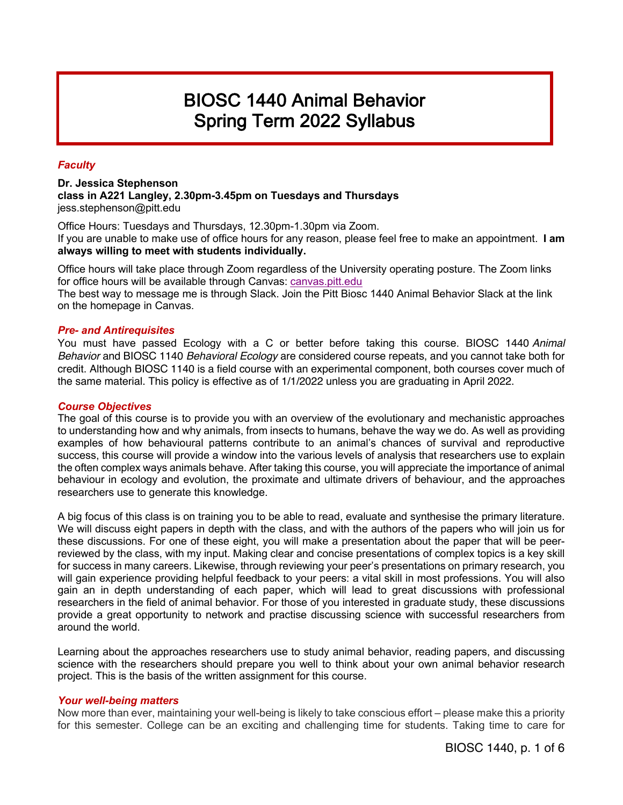# **BIOSC 1440 Animal Behavior** Spring Term 2022 Syllabus

# *Faculty*

**Dr. Jessica Stephenson class in A221 Langley, 2.30pm-3.45pm on Tuesdays and Thursdays** jess.stephenson@pitt.edu

Office Hours: Tuesdays and Thursdays, 12.30pm-1.30pm via Zoom. If you are unable to make use of office hours for any reason, please feel free to make an appointment. **I am always willing to meet with students individually.**

Office hours will take place through Zoom regardless of the University operating posture. The Zoom links for office hours will be available through Canvas: canvas.pitt.edu

The best way to message me is through Slack. Join the Pitt Biosc 1440 Animal Behavior Slack at the link on the homepage in Canvas.

#### *Pre- and Antirequisites*

You must have passed Ecology with a C or better before taking this course. BIOSC 1440 *Animal Behavior* and BIOSC 1140 *Behavioral Ecology* are considered course repeats, and you cannot take both for credit. Although BIOSC 1140 is a field course with an experimental component, both courses cover much of the same material. This policy is effective as of 1/1/2022 unless you are graduating in April 2022.

#### *Course Objectives*

The goal of this course is to provide you with an overview of the evolutionary and mechanistic approaches to understanding how and why animals, from insects to humans, behave the way we do. As well as providing examples of how behavioural patterns contribute to an animal's chances of survival and reproductive success, this course will provide a window into the various levels of analysis that researchers use to explain the often complex ways animals behave. After taking this course, you will appreciate the importance of animal behaviour in ecology and evolution, the proximate and ultimate drivers of behaviour, and the approaches researchers use to generate this knowledge.

A big focus of this class is on training you to be able to read, evaluate and synthesise the primary literature. We will discuss eight papers in depth with the class, and with the authors of the papers who will join us for these discussions. For one of these eight, you will make a presentation about the paper that will be peerreviewed by the class, with my input. Making clear and concise presentations of complex topics is a key skill for success in many careers. Likewise, through reviewing your peer's presentations on primary research, you will gain experience providing helpful feedback to your peers: a vital skill in most professions. You will also gain an in depth understanding of each paper, which will lead to great discussions with professional researchers in the field of animal behavior. For those of you interested in graduate study, these discussions provide a great opportunity to network and practise discussing science with successful researchers from around the world.

Learning about the approaches researchers use to study animal behavior, reading papers, and discussing science with the researchers should prepare you well to think about your own animal behavior research project. This is the basis of the written assignment for this course.

#### *Your well-being matters*

Now more than ever, maintaining your well-being is likely to take conscious effort – please make this a priority for this semester. College can be an exciting and challenging time for students. Taking time to care for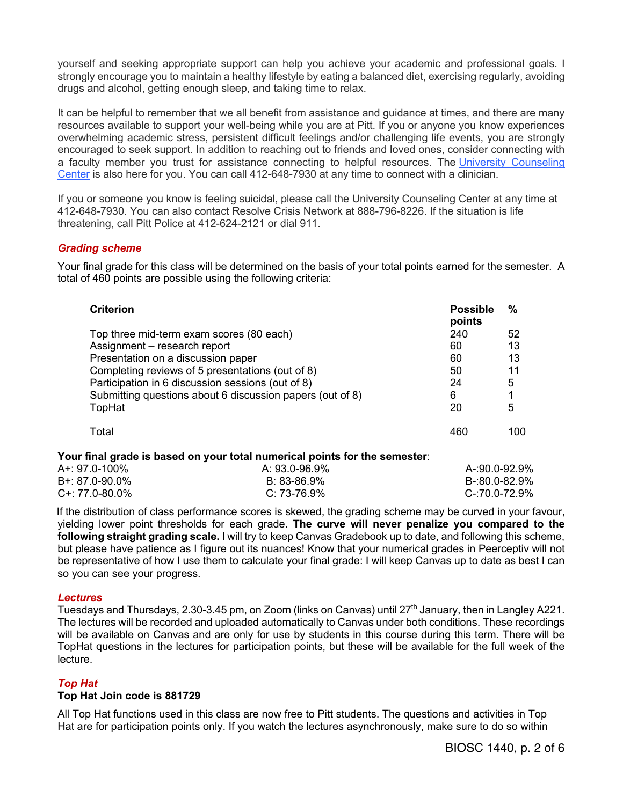yourself and seeking appropriate support can help you achieve your academic and professional goals. I strongly encourage you to maintain a healthy lifestyle by eating a balanced diet, exercising regularly, avoiding drugs and alcohol, getting enough sleep, and taking time to relax.

It can be helpful to remember that we all benefit from assistance and guidance at times, and there are many resources available to support your well-being while you are at Pitt. If you or anyone you know experiences overwhelming academic stress, persistent difficult feelings and/or challenging life events, you are strongly encouraged to seek support. In addition to reaching out to friends and loved ones, consider connecting with a faculty member you trust for assistance connecting to helpful resources. The University Counseling Center is also here for you. You can call 412-648-7930 at any time to connect with a clinician.

If you or someone you know is feeling suicidal, please call the University Counseling Center at any time at 412-648-7930. You can also contact Resolve Crisis Network at 888-796-8226. If the situation is life threatening, call Pitt Police at 412-624-2121 or dial 911.

#### *Grading scheme*

Your final grade for this class will be determined on the basis of your total points earned for the semester. A total of 460 points are possible using the following criteria:

| <b>Criterion</b>                                          | <b>Possible</b><br>points | %    |
|-----------------------------------------------------------|---------------------------|------|
| Top three mid-term exam scores (80 each)                  | 240                       | 52   |
| Assignment - research report                              | 60                        | 13   |
| Presentation on a discussion paper                        | 60                        | 13   |
| Completing reviews of 5 presentations (out of 8)          | 50                        | 11   |
| Participation in 6 discussion sessions (out of 8)         | 24                        | 5    |
| Submitting questions about 6 discussion papers (out of 8) | 6                         |      |
| TopHat                                                    | 20                        | 5    |
| Total                                                     | 460                       | 100. |

#### **Your final grade is based on your total numerical points for the semester**:

| A+: 97.0-100%       | A: 93.0-96.9% | A-:90.0-92.9% |
|---------------------|---------------|---------------|
| $B + 87.0 - 90.0\%$ | B: 83-86.9%   | B-:80.0-82.9% |
| $C+: 77.0-80.0\%$   | C: 73-76.9%   | C-:70.0-72.9% |

If the distribution of class performance scores is skewed, the grading scheme may be curved in your favour, yielding lower point thresholds for each grade. **The curve will never penalize you compared to the following straight grading scale.** I will try to keep Canvas Gradebook up to date, and following this scheme, but please have patience as I figure out its nuances! Know that your numerical grades in Peerceptiv will not be representative of how I use them to calculate your final grade: I will keep Canvas up to date as best I can so you can see your progress.

#### *Lectures*

Tuesdays and Thursdays, 2.30-3.45 pm, on Zoom (links on Canvas) until  $27<sup>th</sup>$  January, then in Langley A221. The lectures will be recorded and uploaded automatically to Canvas under both conditions. These recordings will be available on Canvas and are only for use by students in this course during this term. There will be TopHat questions in the lectures for participation points, but these will be available for the full week of the lecture.

## *Top Hat*

#### **Top Hat Join code is 881729**

All Top Hat functions used in this class are now free to Pitt students. The questions and activities in Top Hat are for participation points only. If you watch the lectures asynchronously, make sure to do so within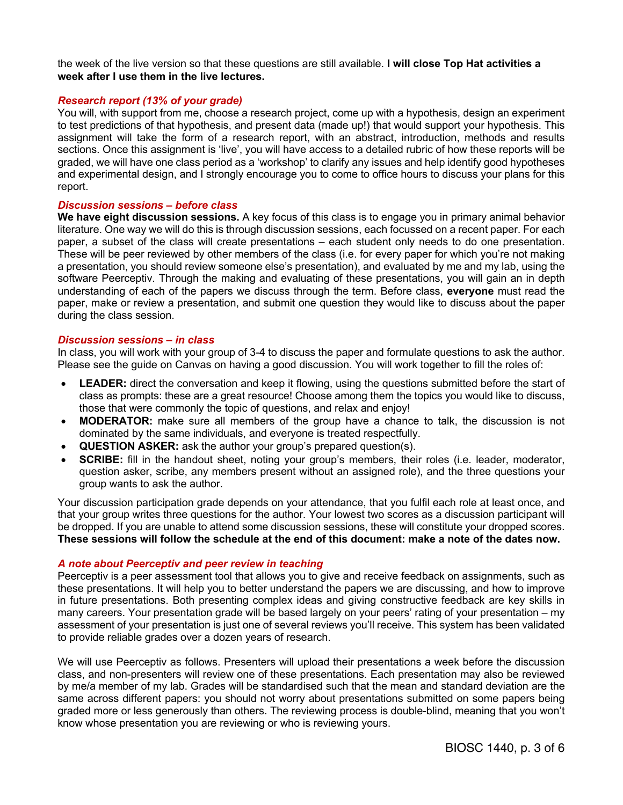the week of the live version so that these questions are still available. **I will close Top Hat activities a week after I use them in the live lectures.**

# *Research report (13% of your grade)*

You will, with support from me, choose a research project, come up with a hypothesis, design an experiment to test predictions of that hypothesis, and present data (made up!) that would support your hypothesis. This assignment will take the form of a research report, with an abstract, introduction, methods and results sections. Once this assignment is 'live', you will have access to a detailed rubric of how these reports will be graded, we will have one class period as a 'workshop' to clarify any issues and help identify good hypotheses and experimental design, and I strongly encourage you to come to office hours to discuss your plans for this report.

#### *Discussion sessions – before class*

**We have eight discussion sessions.** A key focus of this class is to engage you in primary animal behavior literature. One way we will do this is through discussion sessions, each focussed on a recent paper. For each paper, a subset of the class will create presentations – each student only needs to do one presentation. These will be peer reviewed by other members of the class (i.e. for every paper for which you're not making a presentation, you should review someone else's presentation), and evaluated by me and my lab, using the software Peerceptiv. Through the making and evaluating of these presentations, you will gain an in depth understanding of each of the papers we discuss through the term. Before class, **everyone** must read the paper, make or review a presentation, and submit one question they would like to discuss about the paper during the class session.

#### *Discussion sessions – in class*

In class, you will work with your group of 3-4 to discuss the paper and formulate questions to ask the author. Please see the guide on Canvas on having a good discussion. You will work together to fill the roles of:

- **LEADER:** direct the conversation and keep it flowing, using the questions submitted before the start of class as prompts: these are a great resource! Choose among them the topics you would like to discuss, those that were commonly the topic of questions, and relax and enjoy!
- **MODERATOR:** make sure all members of the group have a chance to talk, the discussion is not dominated by the same individuals, and everyone is treated respectfully.
- **QUESTION ASKER:** ask the author your group's prepared question(s).
- **SCRIBE:** fill in the handout sheet, noting your group's members, their roles (i.e. leader, moderator, question asker, scribe, any members present without an assigned role), and the three questions your group wants to ask the author.

Your discussion participation grade depends on your attendance, that you fulfil each role at least once, and that your group writes three questions for the author. Your lowest two scores as a discussion participant will be dropped. If you are unable to attend some discussion sessions, these will constitute your dropped scores. **These sessions will follow the schedule at the end of this document: make a note of the dates now.**

#### *A note about Peerceptiv and peer review in teaching*

Peerceptiv is a peer assessment tool that allows you to give and receive feedback on assignments, such as these presentations. It will help you to better understand the papers we are discussing, and how to improve in future presentations. Both presenting complex ideas and giving constructive feedback are key skills in many careers. Your presentation grade will be based largely on your peers' rating of your presentation – my assessment of your presentation is just one of several reviews you'll receive. This system has been validated to provide reliable grades over a dozen years of research.

We will use Peerceptiv as follows. Presenters will upload their presentations a week before the discussion class, and non-presenters will review one of these presentations. Each presentation may also be reviewed by me/a member of my lab. Grades will be standardised such that the mean and standard deviation are the same across different papers: you should not worry about presentations submitted on some papers being graded more or less generously than others. The reviewing process is double-blind, meaning that you won't know whose presentation you are reviewing or who is reviewing yours.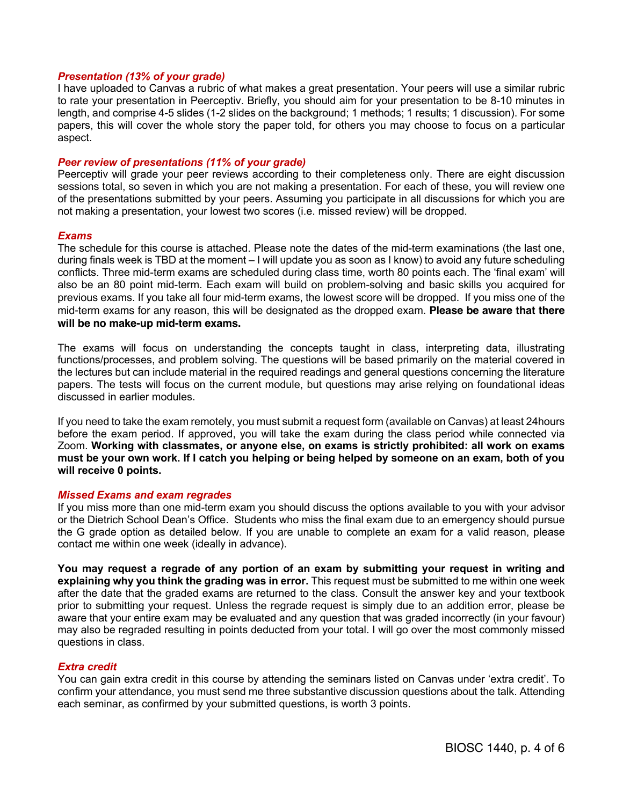#### *Presentation (13% of your grade)*

I have uploaded to Canvas a rubric of what makes a great presentation. Your peers will use a similar rubric to rate your presentation in Peerceptiv. Briefly, you should aim for your presentation to be 8-10 minutes in length, and comprise 4-5 slides (1-2 slides on the background; 1 methods; 1 results; 1 discussion). For some papers, this will cover the whole story the paper told, for others you may choose to focus on a particular aspect.

#### *Peer review of presentations (11% of your grade)*

Peerceptiv will grade your peer reviews according to their completeness only. There are eight discussion sessions total, so seven in which you are not making a presentation. For each of these, you will review one of the presentations submitted by your peers. Assuming you participate in all discussions for which you are not making a presentation, your lowest two scores (i.e. missed review) will be dropped.

#### *Exams*

The schedule for this course is attached. Please note the dates of the mid-term examinations (the last one, during finals week is TBD at the moment – I will update you as soon as I know) to avoid any future scheduling conflicts. Three mid-term exams are scheduled during class time, worth 80 points each. The 'final exam' will also be an 80 point mid-term. Each exam will build on problem-solving and basic skills you acquired for previous exams. If you take all four mid-term exams, the lowest score will be dropped. If you miss one of the mid-term exams for any reason, this will be designated as the dropped exam. **Please be aware that there will be no make-up mid-term exams.**

The exams will focus on understanding the concepts taught in class, interpreting data, illustrating functions/processes, and problem solving. The questions will be based primarily on the material covered in the lectures but can include material in the required readings and general questions concerning the literature papers. The tests will focus on the current module, but questions may arise relying on foundational ideas discussed in earlier modules.

If you need to take the exam remotely, you must submit a request form (available on Canvas) at least 24hours before the exam period. If approved, you will take the exam during the class period while connected via Zoom. **Working with classmates, or anyone else, on exams is strictly prohibited: all work on exams must be your own work. If I catch you helping or being helped by someone on an exam, both of you will receive 0 points.**

#### *Missed Exams and exam regrades*

If you miss more than one mid-term exam you should discuss the options available to you with your advisor or the Dietrich School Dean's Office. Students who miss the final exam due to an emergency should pursue the G grade option as detailed below. If you are unable to complete an exam for a valid reason, please contact me within one week (ideally in advance).

**You may request a regrade of any portion of an exam by submitting your request in writing and explaining why you think the grading was in error.** This request must be submitted to me within one week after the date that the graded exams are returned to the class. Consult the answer key and your textbook prior to submitting your request. Unless the regrade request is simply due to an addition error, please be aware that your entire exam may be evaluated and any question that was graded incorrectly (in your favour) may also be regraded resulting in points deducted from your total. I will go over the most commonly missed questions in class.

#### *Extra credit*

You can gain extra credit in this course by attending the seminars listed on Canvas under 'extra credit'. To confirm your attendance, you must send me three substantive discussion questions about the talk. Attending each seminar, as confirmed by your submitted questions, is worth 3 points.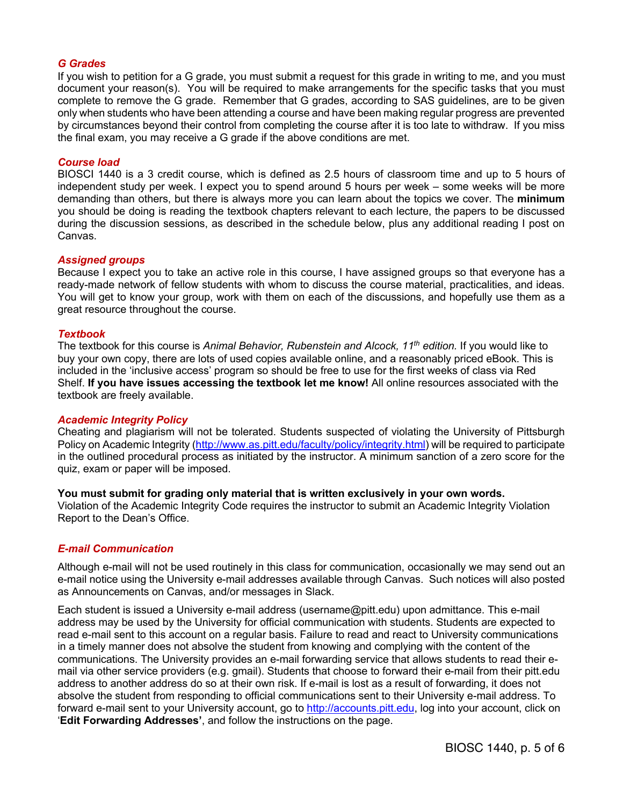#### *G Grades*

If you wish to petition for a G grade, you must submit a request for this grade in writing to me, and you must document your reason(s). You will be required to make arrangements for the specific tasks that you must complete to remove the G grade. Remember that G grades, according to SAS guidelines, are to be given only when students who have been attending a course and have been making regular progress are prevented by circumstances beyond their control from completing the course after it is too late to withdraw. If you miss the final exam, you may receive a G grade if the above conditions are met.

### *Course load*

BIOSCI 1440 is a 3 credit course, which is defined as 2.5 hours of classroom time and up to 5 hours of independent study per week. I expect you to spend around 5 hours per week – some weeks will be more demanding than others, but there is always more you can learn about the topics we cover. The **minimum** you should be doing is reading the textbook chapters relevant to each lecture, the papers to be discussed during the discussion sessions, as described in the schedule below, plus any additional reading I post on Canvas.

#### *Assigned groups*

Because I expect you to take an active role in this course, I have assigned groups so that everyone has a ready-made network of fellow students with whom to discuss the course material, practicalities, and ideas. You will get to know your group, work with them on each of the discussions, and hopefully use them as a great resource throughout the course.

#### *Textbook*

The textbook for this course is *Animal Behavior, Rubenstein and Alcock, 11th edition.* If you would like to buy your own copy, there are lots of used copies available online, and a reasonably priced eBook. This is included in the 'inclusive access' program so should be free to use for the first weeks of class via Red Shelf. **If you have issues accessing the textbook let me know!** All online resources associated with the textbook are freely available.

#### *Academic Integrity Policy*

Cheating and plagiarism will not be tolerated. Students suspected of violating the University of Pittsburgh Policy on Academic Integrity (http://www.as.pitt.edu/faculty/policy/integrity.html) will be required to participate in the outlined procedural process as initiated by the instructor. A minimum sanction of a zero score for the quiz, exam or paper will be imposed.

#### **You must submit for grading only material that is written exclusively in your own words.**

Violation of the Academic Integrity Code requires the instructor to submit an Academic Integrity Violation Report to the Dean's Office.

## *E-mail Communication*

Although e-mail will not be used routinely in this class for communication, occasionally we may send out an e-mail notice using the University e-mail addresses available through Canvas. Such notices will also posted as Announcements on Canvas, and/or messages in Slack.

Each student is issued a University e-mail address (username@pitt.edu) upon admittance. This e-mail address may be used by the University for official communication with students. Students are expected to read e-mail sent to this account on a regular basis. Failure to read and react to University communications in a timely manner does not absolve the student from knowing and complying with the content of the communications. The University provides an e-mail forwarding service that allows students to read their email via other service providers (e.g. gmail). Students that choose to forward their e-mail from their pitt.edu address to another address do so at their own risk. If e-mail is lost as a result of forwarding, it does not absolve the student from responding to official communications sent to their University e-mail address. To forward e-mail sent to your University account, go to http://accounts.pitt.edu, log into your account, click on '**Edit Forwarding Addresses'**, and follow the instructions on the page.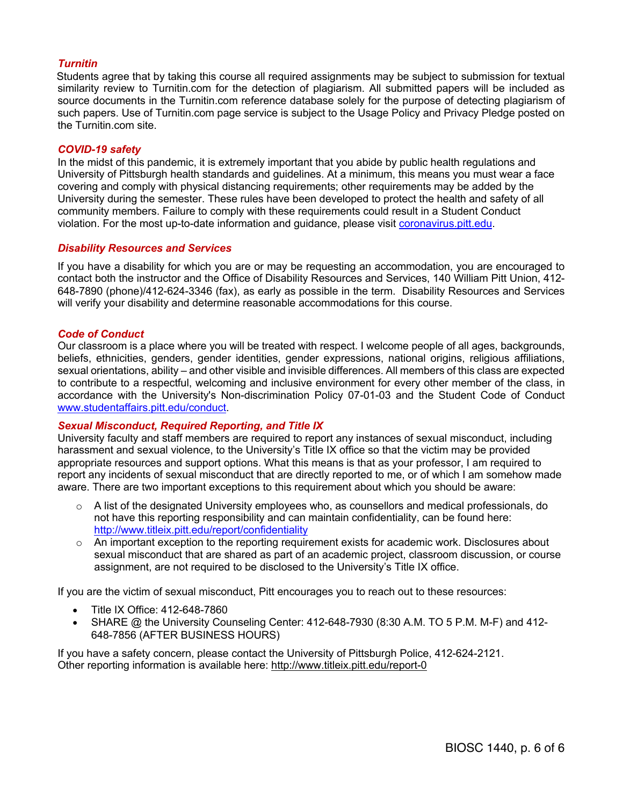# *Turnitin*

Students agree that by taking this course all required assignments may be subject to submission for textual similarity review to Turnitin.com for the detection of plagiarism. All submitted papers will be included as source documents in the Turnitin.com reference database solely for the purpose of detecting plagiarism of such papers. Use of Turnitin.com page service is subject to the Usage Policy and Privacy Pledge posted on the Turnitin com site.

#### *COVID-19 safety*

In the midst of this pandemic, it is extremely important that you abide by public health regulations and University of Pittsburgh health standards and guidelines. At a minimum, this means you must wear a face covering and comply with physical distancing requirements; other requirements may be added by the University during the semester. These rules have been developed to protect the health and safety of all community members. Failure to comply with these requirements could result in a Student Conduct violation. For the most up-to-date information and guidance, please visit coronavirus.pitt.edu.

### *Disability Resources and Services*

If you have a disability for which you are or may be requesting an accommodation, you are encouraged to contact both the instructor and the Office of Disability Resources and Services, 140 William Pitt Union, 412- 648-7890 (phone)/412-624-3346 (fax), as early as possible in the term. Disability Resources and Services will verify your disability and determine reasonable accommodations for this course.

#### *Code of Conduct*

Our classroom is a place where you will be treated with respect. I welcome people of all ages, backgrounds, beliefs, ethnicities, genders, gender identities, gender expressions, national origins, religious affiliations, sexual orientations, ability – and other visible and invisible differences. All members of this class are expected to contribute to a respectful, welcoming and inclusive environment for every other member of the class, in accordance with the University's Non-discrimination Policy 07-01-03 and the Student Code of Conduct www.studentaffairs.pitt.edu/conduct.

#### *Sexual Misconduct, Required Reporting, and Title IX*

University faculty and staff members are required to report any instances of sexual misconduct, including harassment and sexual violence, to the University's Title IX office so that the victim may be provided appropriate resources and support options. What this means is that as your professor, I am required to report any incidents of sexual misconduct that are directly reported to me, or of which I am somehow made aware. There are two important exceptions to this requirement about which you should be aware:

- $\circ$  A list of the designated University employees who, as counsellors and medical professionals, do not have this reporting responsibility and can maintain confidentiality, can be found here: http://www.titleix.pitt.edu/report/confidentiality
- $\circ$  An important exception to the reporting requirement exists for academic work. Disclosures about sexual misconduct that are shared as part of an academic project, classroom discussion, or course assignment, are not required to be disclosed to the University's Title IX office.

If you are the victim of sexual misconduct, Pitt encourages you to reach out to these resources:

- Title IX Office: 412-648-7860
- SHARE @ the University Counseling Center: 412-648-7930 (8:30 A.M. TO 5 P.M. M-F) and 412- 648-7856 (AFTER BUSINESS HOURS)

If you have a safety concern, please contact the University of Pittsburgh Police, 412-624-2121. Other reporting information is available here: http://www.titleix.pitt.edu/report-0